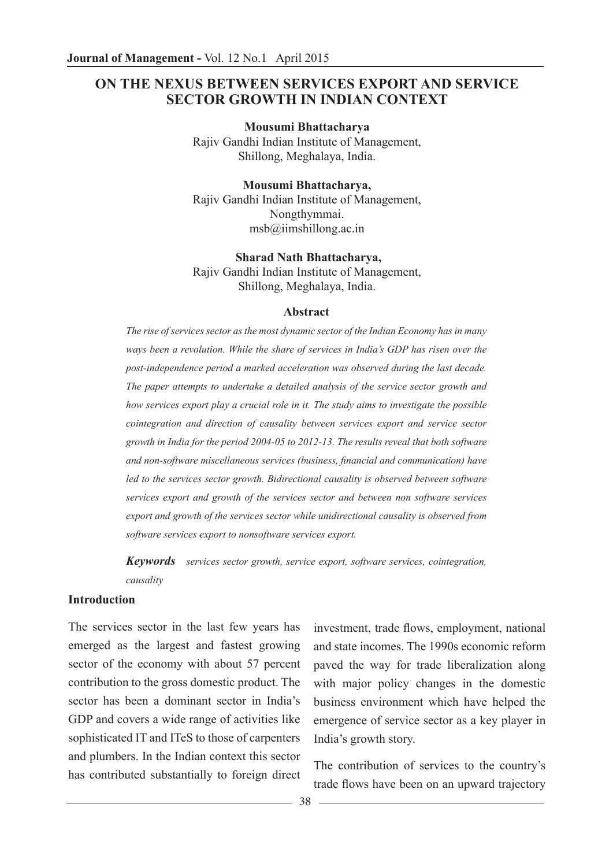## **ON THE NEXUS BETWEEN SERVICES EXPORT AND SERVICE SECTOR GROWTH IN INDIAN CONTEXT**

**Mousumi Bhattacharya** Rajiv Gandhi Indian Institute of Management, Shillong, Meghalaya, India.

**Mousumi Bhattacharya,**  Rajiv Gandhi Indian Institute of Management, Nongthymmai.  $msb@iimshillong.ac.in$ 

**Sharad Nath Bhattacharya,** Rajiv Gandhi Indian Institute of Management, Shillong, Meghalaya, India.

#### **Abstract**

*The rise of services sector as the most dynamic sector of the Indian Economy has in many ways been a revolution. While the share of services in India's GDP has risen over the post-independence period a marked acceleration was observed during the last decade. The paper attempts to undertake a detailed analysis of the service sector growth and how services export play a crucial role in it. The study aims to investigate the possible cointegration and direction of causality between services export and service sector growth in India for the period 2004-05 to 2012-13. The results reveal that both software and non-software miscellaneous services (business, financial and communication) have*  led to the services sector growth. Bidirectional causality is observed between software *services export and growth of the services sector and between non software services export and growth of the services sector while unidirectional causality is observed from software services export to nonsoftware services export.*

*Keywords services sector growth, service export, software services, cointegration, causality*

#### **Introduction**

The services sector in the last few years has emerged as the largest and fastest growing sector of the economy with about 57 percent contribution to the gross domestic product. The sector has been a dominant sector in India's GDP and covers a wide range of activities like sophisticated IT and ITeS to those of carpenters and plumbers. In the Indian context this sector has contributed substantially to foreign direct

investment, trade flows, employment, national and state incomes. The 1990s economic reform paved the way for trade liberalization along with major policy changes in the domestic business environment which have helped the emergence of service sector as a key player in India's growth story.

The contribution of services to the country's trade flows have been on an upward trajectory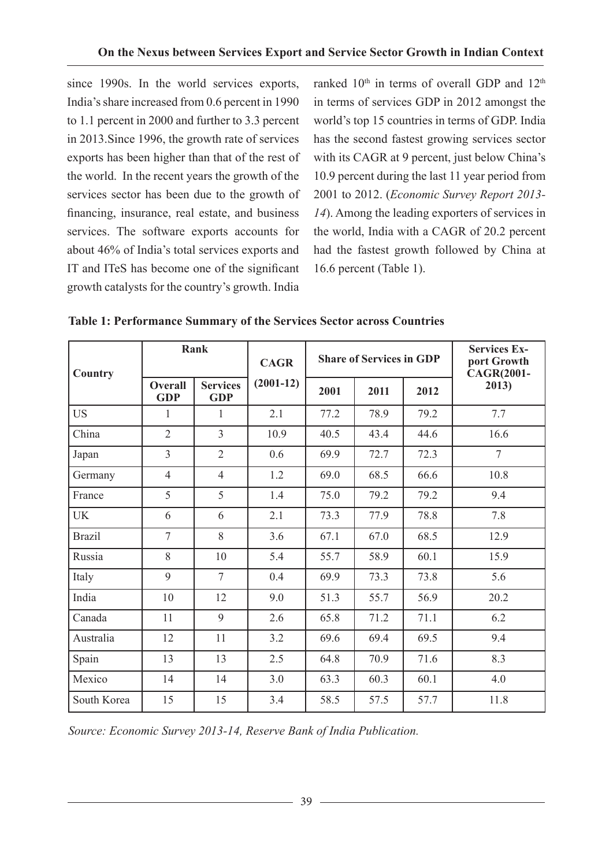since 1990s. In the world services exports, India's share increased from 0.6 percent in 1990 to 1.1 percent in 2000 and further to 3.3 percent in 2013.Since 1996, the growth rate of services exports has been higher than that of the rest of the world. In the recent years the growth of the services sector has been due to the growth of financing, insurance, real estate, and business services. The software exports accounts for about 46% of India's total services exports and IT and ITeS has become one of the significant growth catalysts for the country's growth. India

ranked 10<sup>th</sup> in terms of overall GDP and 12<sup>th</sup> in terms of services GDP in 2012 amongst the world's top 15 countries in terms of GDP. India has the second fastest growing services sector with its CAGR at 9 percent, just below China's 10.9 percent during the last 11 year period from 2001 to 2012. (*Economic Survey Report 2013- 14*). Among the leading exporters of services in the world, India with a CAGR of 20.2 percent had the fastest growth followed by China at 16.6 percent (Table 1).

| Country       | Rank                         |                               | <b>CAGR</b> | <b>Share of Services in GDP</b> |      |      | <b>Services Ex-</b><br>port Growth<br><b>CAGR(2001-</b> |
|---------------|------------------------------|-------------------------------|-------------|---------------------------------|------|------|---------------------------------------------------------|
|               | <b>Overall</b><br><b>GDP</b> | <b>Services</b><br><b>GDP</b> | $(2001-12)$ | 2001                            | 2011 | 2012 | 2013)                                                   |
| <b>US</b>     | 1                            | 1                             | 2.1         | 77.2                            | 78.9 | 79.2 | 7.7                                                     |
| China         | $\overline{2}$               | $\overline{3}$                | 10.9        | 40.5                            | 43.4 | 44.6 | 16.6                                                    |
| Japan         | $\overline{3}$               | $\overline{2}$                | 0.6         | 69.9                            | 72.7 | 72.3 | $\overline{7}$                                          |
| Germany       | $\overline{4}$               | $\overline{4}$                | 1.2         | 69.0                            | 68.5 | 66.6 | 10.8                                                    |
| France        | 5                            | 5                             | 1.4         | 75.0                            | 79.2 | 79.2 | 9.4                                                     |
| <b>UK</b>     | 6                            | 6                             | 2.1         | 73.3                            | 77.9 | 78.8 | 7.8                                                     |
| <b>Brazil</b> | $\overline{7}$               | 8                             | 3.6         | 67.1                            | 67.0 | 68.5 | 12.9                                                    |
| Russia        | 8                            | 10                            | 5.4         | 55.7                            | 58.9 | 60.1 | 15.9                                                    |
| Italy         | 9                            | $\overline{7}$                | 0.4         | 69.9                            | 73.3 | 73.8 | 5.6                                                     |
| India         | 10                           | 12                            | 9.0         | 51.3                            | 55.7 | 56.9 | 20.2                                                    |
| Canada        | 11                           | 9                             | 2.6         | 65.8                            | 71.2 | 71.1 | 6.2                                                     |
| Australia     | 12                           | 11                            | 3.2         | 69.6                            | 69.4 | 69.5 | 9.4                                                     |
| Spain         | 13                           | 13                            | 2.5         | 64.8                            | 70.9 | 71.6 | 8.3                                                     |
| Mexico        | 14                           | 14                            | 3.0         | 63.3                            | 60.3 | 60.1 | 4.0                                                     |
| South Korea   | 15                           | 15                            | 3.4         | 58.5                            | 57.5 | 57.7 | 11.8                                                    |

|  | Table 1: Performance Summary of the Services Sector across Countries |  |  |  |  |  |  |
|--|----------------------------------------------------------------------|--|--|--|--|--|--|
|--|----------------------------------------------------------------------|--|--|--|--|--|--|

*Source: Economic Survey 2013-14, Reserve Bank of India Publication.*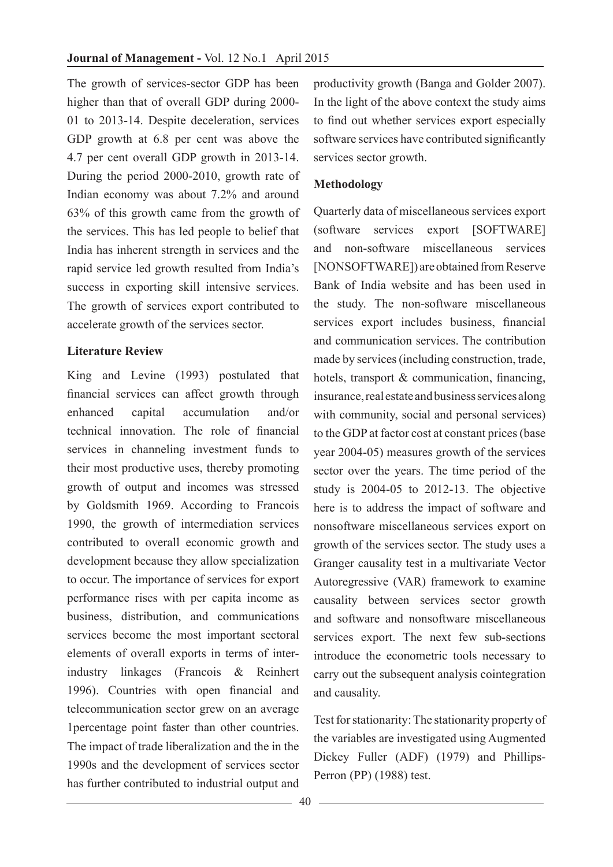The growth of services-sector GDP has been higher than that of overall GDP during 2000- 01 to 2013-14. Despite deceleration, services GDP growth at 6.8 per cent was above the 4.7 per cent overall GDP growth in 2013-14. During the period 2000-2010, growth rate of Indian economy was about 7.2% and around 63% of this growth came from the growth of the services. This has led people to belief that India has inherent strength in services and the rapid service led growth resulted from India's success in exporting skill intensive services. The growth of services export contributed to accelerate growth of the services sector.

#### **Literature Review**

King and Levine (1993) postulated that financial services can affect growth through enhanced capital accumulation and/or technical innovation. The role of financial services in channeling investment funds to their most productive uses, thereby promoting growth of output and incomes was stressed by Goldsmith 1969. According to Francois 1990, the growth of intermediation services contributed to overall economic growth and development because they allow specialization to occur. The importance of services for export performance rises with per capita income as business, distribution, and communications services become the most important sectoral elements of overall exports in terms of interindustry linkages (Francois & Reinhert 1996). Countries with open financial and telecommunication sector grew on an average 1percentage point faster than other countries. The impact of trade liberalization and the in the 1990s and the development of services sector has further contributed to industrial output and

productivity growth (Banga and Golder 2007). In the light of the above context the study aims to find out whether services export especially software services have contributed significantly services sector growth.

### **Methodology**

Quarterly data of miscellaneous services export (software services export [SOFTWARE] and non-software miscellaneous services [NONSOFTWARE]) are obtained from Reserve Bank of India website and has been used in the study. The non-software miscellaneous services export includes business, financial and communication services. The contribution made by services (including construction, trade, hotels, transport & communication, financing, insurance, real estate and business services along with community, social and personal services) to the GDP at factor cost at constant prices (base year 2004-05) measures growth of the services sector over the years. The time period of the study is 2004-05 to 2012-13. The objective here is to address the impact of software and nonsoftware miscellaneous services export on growth of the services sector. The study uses a Granger causality test in a multivariate Vector Autoregressive (VAR) framework to examine causality between services sector growth and software and nonsoftware miscellaneous services export. The next few sub-sections introduce the econometric tools necessary to carry out the subsequent analysis cointegration and causality.

Test for stationarity: The stationarity property of the variables are investigated using Augmented Dickey Fuller (ADF) (1979) and Phillips-Perron (PP) (1988) test.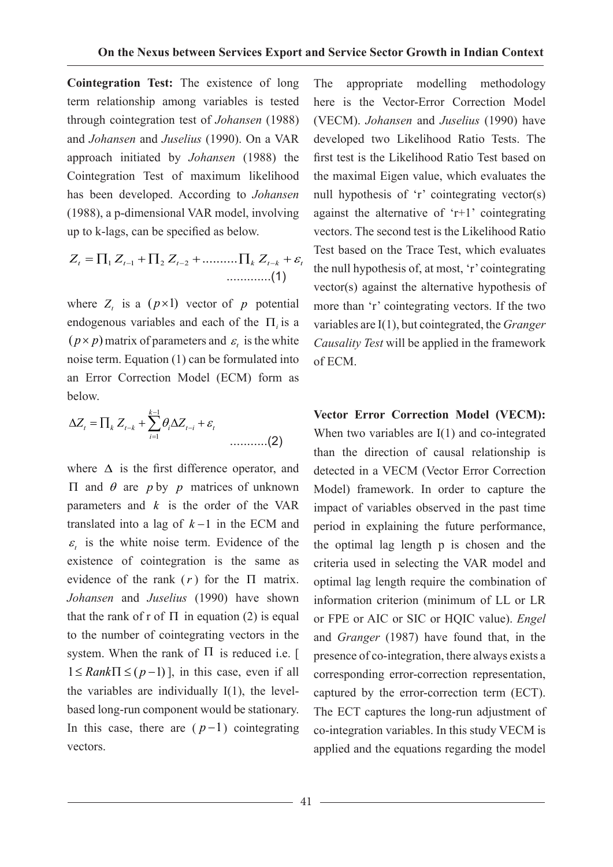**Cointegration Test:** The existence of long term relationship among variables is tested through cointegration test of *Johansen* (1988) and *Johansen* and *Juselius* (1990). On a VAR approach initiated by *Johansen* (1988) the Cointegration Test of maximum likelihood has been developed. According to *Johansen* (1988), a p-dimensional VAR model, involving up to k-lags, can be specified as below.

11 2 2 .......... *ZZ Z Z t t <sup>t</sup> k tk t* <sup>ε</sup> =∏ +∏ + ∏ + −− − .............(1)

where  $Z_t$  is a  $(p \times 1)$  vector of *p* potential endogenous variables and each of the Π*<sup>i</sup>* is a  $(p \times p)$  matrix of parameters and  $\varepsilon$ , is the white noise term. Equation (1) can be formulated into an Error Correction Model (ECM) form as below.

$$
\Delta Z_t = \prod_k Z_{t-k} + \sum_{i=1}^{k-1} \theta_i \Delta Z_{t-i} + \varepsilon_t
$$
 (2)

where  $\Delta$  is the first difference operator, and Π and θ are *p* by *p* matrices of unknown parameters and *k* is the order of the VAR translated into a lag of *k* −1 in the ECM and  $\epsilon$  is the white noise term. Evidence of the existence of cointegration is the same as evidence of the rank  $(r)$  for the  $\Pi$  matrix. *Johansen* and *Juselius* (1990) have shown that the rank of r of  $\Pi$  in equation (2) is equal to the number of cointegrating vectors in the system. When the rank of  $\Pi$  is reduced i.e. [  $1 \leq Rank \Pi \leq (p-1)$ ], in this case, even if all the variables are individually I(1), the levelbased long-run component would be stationary. In this case, there are  $(p-1)$  cointegrating vectors.

The appropriate modelling methodology here is the Vector-Error Correction Model (VECM). *Johansen* and *Juselius* (1990) have developed two Likelihood Ratio Tests. The first test is the Likelihood Ratio Test based on the maximal Eigen value, which evaluates the null hypothesis of 'r' cointegrating vector(s) against the alternative of 'r+1' cointegrating vectors. The second test is the Likelihood Ratio Test based on the Trace Test, which evaluates the null hypothesis of, at most, 'r' cointegrating vector(s) against the alternative hypothesis of more than 'r' cointegrating vectors. If the two variables are I(1), but cointegrated, the *Granger Causality Test* will be applied in the framework of ECM.

**Vector Error Correction Model (VECM):**  When two variables are I(1) and co-integrated than the direction of causal relationship is detected in a VECM (Vector Error Correction Model) framework. In order to capture the impact of variables observed in the past time period in explaining the future performance, the optimal lag length p is chosen and the criteria used in selecting the VAR model and optimal lag length require the combination of information criterion (minimum of LL or LR or FPE or AIC or SIC or HQIC value). *Engel* and *Granger* (1987) have found that, in the presence of co-integration, there always exists a corresponding error-correction representation, captured by the error-correction term (ECT). The ECT captures the long-run adjustment of co-integration variables. In this study VECM is applied and the equations regarding the model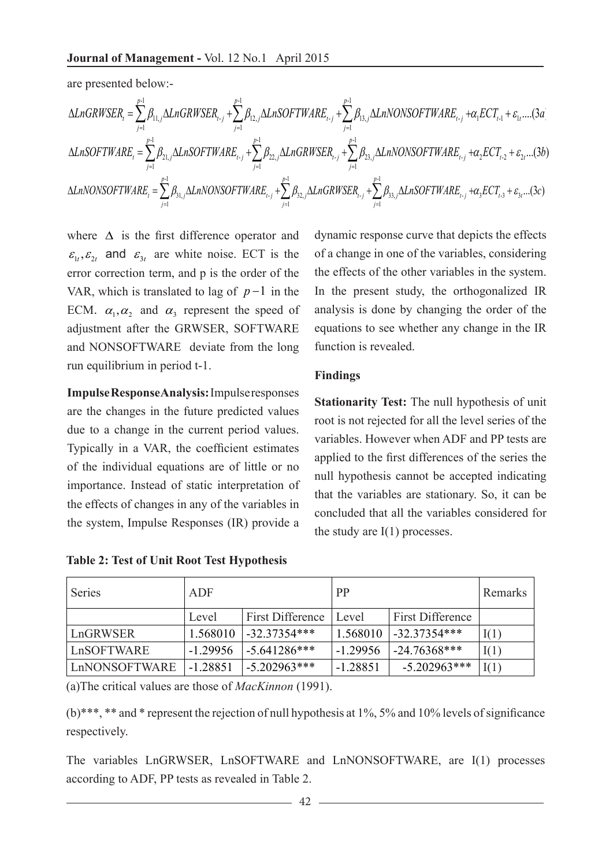are presented below:-

$$
\Delta LnGRWSER_{t} = \sum_{j=1}^{p-1} \beta_{11,j} \Delta LnGRWSER_{t-j} + \sum_{j=1}^{p-1} \beta_{12,j} \Delta LnSOFTWARE_{t-j} + \sum_{j=1}^{p-1} \beta_{13,j} \Delta LnNONSOFTWARE_{t-j} + \alpha_{1} ECT_{t-1} + \varepsilon_{1t} ....(3a)
$$
  

$$
\Delta LnSOFTWARE_{t} = \sum_{j=1}^{p-1} \beta_{21,j} \Delta LnSOFTWARE_{t-j} + \sum_{j=1}^{p-1} \beta_{22,j} \Delta LnGRWSER_{t-j} + \sum_{j=1}^{p-1} \beta_{23,j} \Delta LnNONSOFTWARE_{t-j} + \alpha_{2} ECT_{t-2} + \varepsilon_{2t} ....(3b)
$$
  

$$
\Delta LnNONSOFTWARE_{t} = \sum_{j=1}^{p-1} \beta_{31,j} \Delta LnNONSOFTWARE_{t-j} + \sum_{j=1}^{p-1} \beta_{32,j} \Delta LnGRWSER_{t-j} + \sum_{j=1}^{p-1} \beta_{33,j} \Delta LnSOFTWARE_{t-j} + \alpha_{3} ECT_{t-3} + \varepsilon_{3t} ....(3c)
$$

where  $\Delta$  is the first difference operator and  $\varepsilon_{1}$ ,  $\varepsilon_{2}$  and  $\varepsilon_{3}$  are white noise. ECT is the error correction term, and p is the order of the VAR, which is translated to lag of  $p-1$  in the ECM.  $\alpha_1, \alpha_2$  and  $\alpha_3$  represent the speed of adjustment after the GRWSER, SOFTWARE and NONSOFTWARE deviate from the long run equilibrium in period t-1.

**Impulse Response Analysis:** Impulse responses are the changes in the future predicted values due to a change in the current period values. Typically in a VAR, the coefficient estimates of the individual equations are of little or no importance. Instead of static interpretation of the effects of changes in any of the variables in the system, Impulse Responses (IR) provide a

dynamic response curve that depicts the effects of a change in one of the variables, considering the effects of the other variables in the system. In the present study, the orthogonalized IR analysis is done by changing the order of the equations to see whether any change in the IR function is revealed.

## **Findings**

**Stationarity Test:** The null hypothesis of unit root is not rejected for all the level series of the variables. However when ADF and PP tests are applied to the first differences of the series the null hypothesis cannot be accepted indicating that the variables are stationary. So, it can be concluded that all the variables considered for the study are  $I(1)$  processes.

| Series        | ADF        |                  | <b>PP</b>  | Remarks                 |      |
|---------------|------------|------------------|------------|-------------------------|------|
|               | Level      | First Difference | Level      | <b>First Difference</b> |      |
| LnGRWSER      | 1.568010   | $-32.37354***$   | 1.568010   | $-32.37354***$          | I(1) |
| LnSOFTWARE    | $-1.29956$ | $-5.641286***$   | $-1.29956$ | $-24.76368***$          | I(1) |
| LnNONSOFTWARE | $-1.28851$ | $-5.202963***$   | $-1.28851$ | $-5.202963***$          | I(1) |

**Table 2: Test of Unit Root Test Hypothesis** 

(a)The critical values are those of *MacKinnon* (1991).

(b)\*\*\*, \*\* and \* represent the rejection of null hypothesis at 1%, 5% and 10% levels of significance respectively.

The variables LnGRWSER, LnSOFTWARE and LnNONSOFTWARE, are I(1) processes according to ADF, PP tests as revealed in Table 2.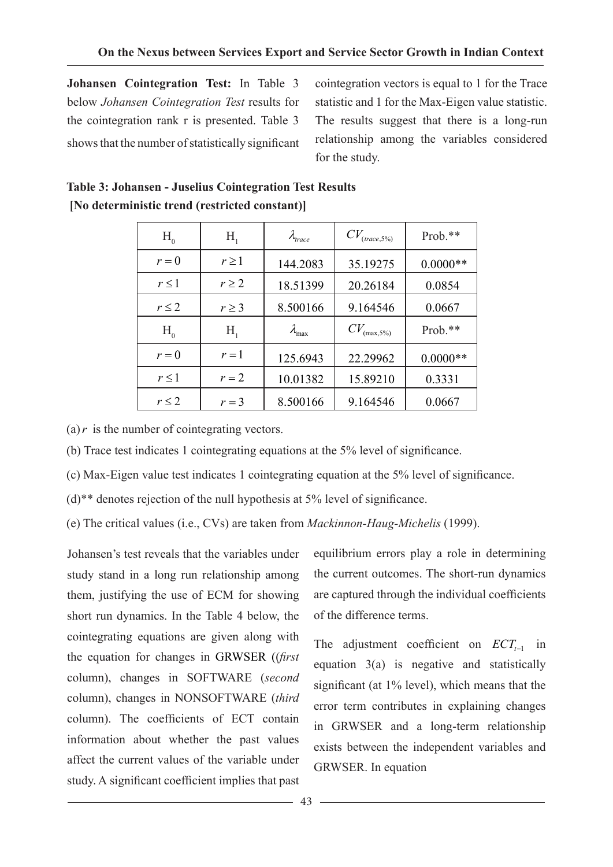**Johansen Cointegration Test:** In Table 3 below *Johansen Cointegration Test* results for the cointegration rank r is presented. Table 3 shows that the number of statistically significant cointegration vectors is equal to 1 for the Trace statistic and 1 for the Max-Eigen value statistic. The results suggest that there is a long-run relationship among the variables considered for the study.

| $H_{0}$    | Н,         | $\lambda_{trace}$      | $CV_{\text{(trace,5%)}}$ | $Prob.**$  |
|------------|------------|------------------------|--------------------------|------------|
| $r = 0$    | $r \geq 1$ | 144.2083               | 35.19275                 | $0.0000**$ |
| $r \leq 1$ | $r \geq 2$ | 18.51399               | 20.26184                 | 0.0854     |
| $r \leq 2$ | $r \geq 3$ | 8.500166               | 9.164546                 | 0.0667     |
| $H_{0}$    | $H_{i}$    | $\lambda_{\text{max}}$ | $CV_{(\max,5\%)}$        | Prob.**    |
| $r = 0$    | $r=1$      | 125.6943               | 22.29962                 | $0.0000**$ |
| $r \leq 1$ | $r=2$      | 10.01382               | 15.89210                 | 0.3331     |
| $r \leq 2$ | $r=3$      | 8.500166               | 9.164546                 | 0.0667     |

# **Table 3: Johansen - Juselius Cointegration Test Results [No deterministic trend (restricted constant)]**

(a)  $r$  is the number of cointegrating vectors.

(b) Trace test indicates 1 cointegrating equations at the 5% level of significance.

 (c) Max-Eigen value test indicates 1 cointegrating equation at the 5% level of significance.

(d)\*\* denotes rejection of the null hypothesis at 5% level of significance.

(e) The critical values (i.e., CVs) are taken from *Mackinnon-Haug-Michelis* (1999).

Johansen's test reveals that the variables under study stand in a long run relationship among them, justifying the use of ECM for showing short run dynamics. In the Table 4 below, the cointegrating equations are given along with the equation for changes in GRWSER ((*first*  column), changes in SOFTWARE (*second*  column), changes in NONSOFTWARE (*third*  column). The coefficients of ECT contain information about whether the past values affect the current values of the variable under study. A significant coefficient implies that past

equilibrium errors play a role in determining the current outcomes. The short-run dynamics are captured through the individual coefficients of the difference terms.

The adjustment coefficient on *ECT*<sub> $t−1$  in</sub> equation 3(a) is negative and statistically significant (at 1% level), which means that the error term contributes in explaining changes in GRWSER and a long-term relationship exists between the independent variables and GRWSER. In equation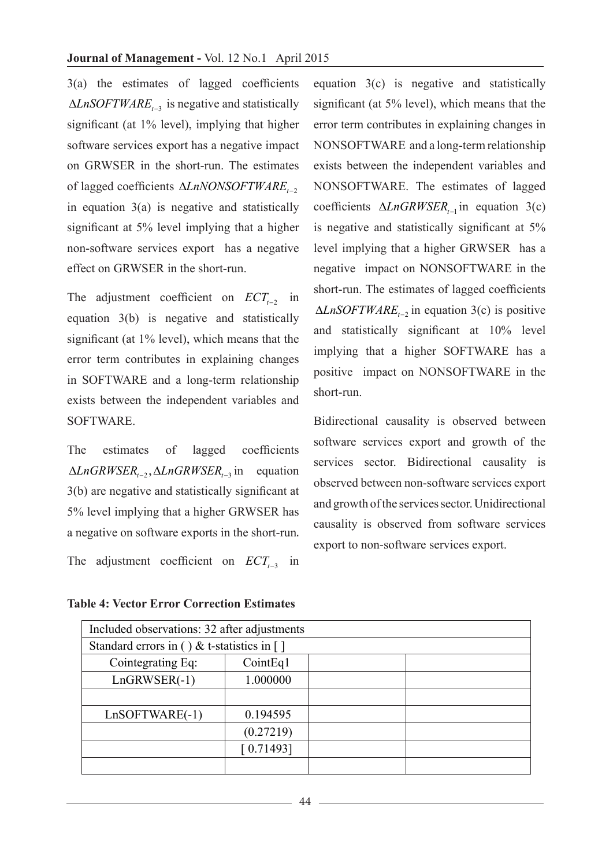3(a) the estimates of lagged coefficients ∆*LnSOFTWAREt*−<sup>3</sup> is negative and statistically significant (at 1% level), implying that higher software services export has a negative impact on GRWSER in the short-run. The estimates of lagged coefficients ∆*LnNONSOFTWARE*<sub>t→2</sub> in equation 3(a) is negative and statistically significant at 5% level implying that a higher non-software services export has a negative effect on GRWSER in the short-run.

The adjustment coefficient on *ECT*<sub>*t*−2</sub> in equation 3(b) is negative and statistically significant (at 1% level), which means that the error term contributes in explaining changes in SOFTWARE and a long-term relationship exists between the independent variables and SOFTWARE.

The estimates of lagged coefficients  $ΔLnGRWSER<sub>−2</sub>, ΔLnGRWSER<sub>−3</sub>$  in equation 3(b) are negative and statistically significant at 5% level implying that a higher GRWSER has a negative on software exports in the short-run. The adjustment coefficient on *ECTt*<sup>−</sup>3 in

**Table 4: Vector Error Correction Estimates**

equation 3(c) is negative and statistically significant (at 5% level), which means that the error term contributes in explaining changes in NONSOFTWARE and a long-term relationship exists between the independent variables and NONSOFTWARE. The estimates of lagged coefficients ∆*LnGRWSER*<sub> $t-1$ </sub> in equation 3(c) is negative and statistically significant at 5% level implying that a higher GRWSER has a negative impact on NONSOFTWARE in the short-run. The estimates of lagged coefficients ∆*LnSOFTWAREt*−<sup>2</sup> in equation 3(c) is positive and statistically significant at 10% level implying that a higher SOFTWARE has a positive impact on NONSOFTWARE in the short-run.

Bidirectional causality is observed between software services export and growth of the services sector. Bidirectional causality is observed between non-software services export and growth of the services sector. Unidirectional causality is observed from software services export to non-software services export.

| Included observations: 32 after adjustments                   |           |  |  |  |  |  |
|---------------------------------------------------------------|-----------|--|--|--|--|--|
| Standard errors in () & t-statistics in $\lceil \cdot \rceil$ |           |  |  |  |  |  |
| Cointegrating Eq:                                             | CointEq1  |  |  |  |  |  |
| $LnGRWSER(-1)$                                                | 1.000000  |  |  |  |  |  |
|                                                               |           |  |  |  |  |  |
| $LnSOFTWARE(-1)$                                              | 0.194595  |  |  |  |  |  |
|                                                               | (0.27219) |  |  |  |  |  |
| [0.71493]                                                     |           |  |  |  |  |  |
|                                                               |           |  |  |  |  |  |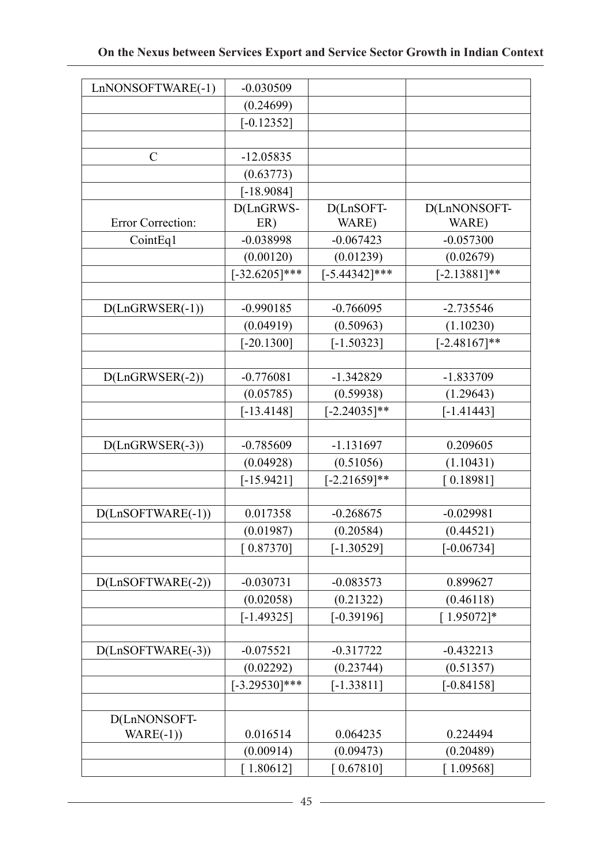| LnNONSOFTWARE(-1)   | $-0.030509$        |                    |                       |
|---------------------|--------------------|--------------------|-----------------------|
|                     | (0.24699)          |                    |                       |
|                     | $[-0.12352]$       |                    |                       |
|                     |                    |                    |                       |
| $\mathcal{C}$       | $-12.05835$        |                    |                       |
|                     | (0.63773)          |                    |                       |
|                     | $[-18.9084]$       |                    |                       |
| Error Correction:   | D(LnGRWS-<br>ER)   | D(LnSOFT-<br>WARE) | D(LnNONSOFT-<br>WARE) |
| CointEq1            | $-0.038998$        | $-0.067423$        | $-0.057300$           |
|                     | (0.00120)          | (0.01239)          | (0.02679)             |
|                     | $[-32.6205]$ ***   | $[-5.44342]$ ***   | $[-2.13881]$ **       |
|                     |                    |                    |                       |
| $D(LnGRWSER(-1))$   | $-0.990185$        | $-0.766095$        | $-2.735546$           |
|                     | (0.04919)          | (0.50963)          | (1.10230)             |
|                     | $[-20.1300]$       | $[-1.50323]$       | $[-2.48167]$ **       |
|                     |                    |                    |                       |
| $D(LnGRWSER(-2))$   | $-0.776081$        | $-1.342829$        | -1.833709             |
|                     | (0.05785)          | (0.59938)          | (1.29643)             |
|                     | $[-13.4148]$       | $[-2.24035]$ **    | $[-1.41443]$          |
|                     |                    |                    |                       |
| $D(LnGRWSER(-3))$   | $-0.785609$        | $-1.131697$        | 0.209605              |
|                     | (0.04928)          | (0.51056)          | (1.10431)             |
|                     | $[-15.9421]$       | $[-2.21659]$ **    | [0.18981]             |
|                     |                    |                    |                       |
| D(LnSOFTWARE(-1))   | 0.017358           | $-0.268675$        | $-0.029981$           |
|                     | (0.01987)          | (0.20584)          | (0.44521)             |
|                     | [0.87370]          | $[-1.30529]$       | $[-0.06734]$          |
|                     |                    |                    |                       |
| $D(LnSOFTWARE(-2))$ | $-0.030731$        | $-0.083573$        | 0.899627              |
|                     | (0.02058)          | (0.21322)          | (0.46118)             |
|                     | $[-1.49325]$       | $[-0.39196]$       | $[1.95072]*$          |
|                     |                    |                    |                       |
| $D(LnSOFTWARE(-3))$ | $-0.075521$        | $-0.317722$        | $-0.432213$           |
|                     | (0.02292)          | (0.23744)          | (0.51357)             |
|                     | $[-3.29530]^{***}$ | $[-1.33811]$       | $[-0.84158]$          |
|                     |                    |                    |                       |
| D(LnNONSOFT-        |                    |                    |                       |
| $WARE(-1)$          | 0.016514           | 0.064235           | 0.224494              |
|                     | (0.00914)          | (0.09473)          | (0.20489)             |
|                     | [1.80612]          | [0.67810]          | [1.09568]             |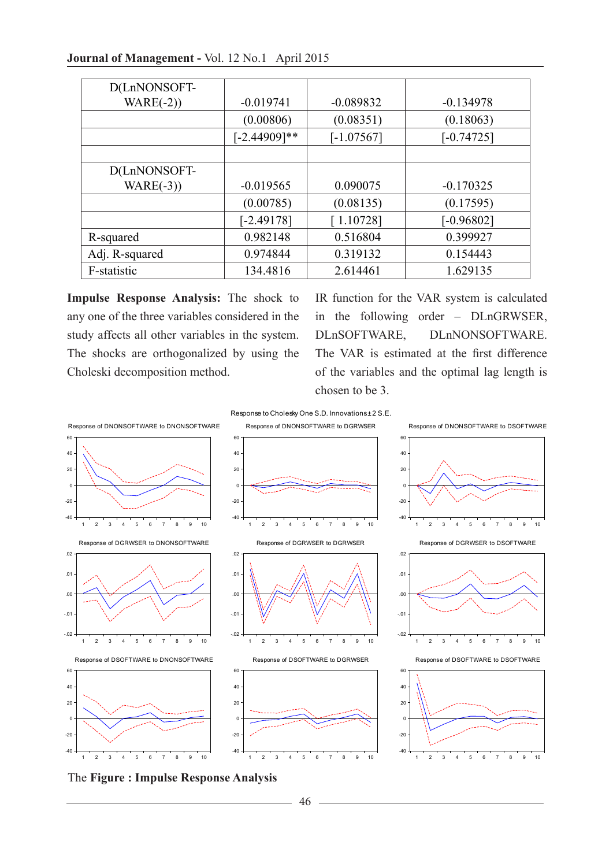| Journal of Management - Vol. 12 No.1 April 2015 |  |  |  |
|-------------------------------------------------|--|--|--|
|-------------------------------------------------|--|--|--|

| D(LnNONSOFT-   |                 |              |              |
|----------------|-----------------|--------------|--------------|
| $WARE(-2)$     | $-0.019741$     | $-0.089832$  | $-0.134978$  |
|                | (0.00806)       | (0.08351)    | (0.18063)    |
|                | $[-2.44909]$ ** | $[-1.07567]$ | $[-0.74725]$ |
|                |                 |              |              |
| D(LnNONSOFT-   |                 |              |              |
| $WARE(-3))$    | $-0.019565$     | 0.090075     | $-0.170325$  |
|                | (0.00785)       | (0.08135)    | (0.17595)    |
|                | $[-2.49178]$    | [1.10728]    | $[-0.96802]$ |
| R-squared      | 0.982148        | 0.516804     | 0.399927     |
| Adj. R-squared | 0.974844        | 0.319132     | 0.154443     |
| F-statistic    | 134.4816        | 2.614461     | 1.629135     |

**Impulse Response Analysis:** The shock to any one of the three variables considered in the study affects all other variables in the system. The shocks are orthogonalized by using the Choleski decomposition method.

IR function for the VAR system is calculated in the following order – DLnGRWSER, DLnSOFTWARE, DLnNONSOFTWARE. The VAR is estimated at the first difference of the variables and the optimal lag length is chosen to be 3.



The **Figure : Impulse Response Analysis**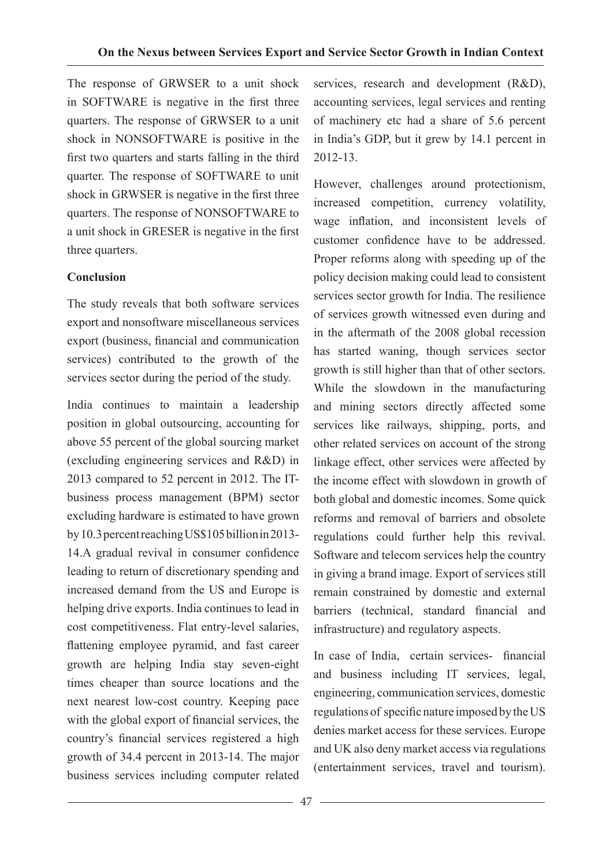The response of GRWSER to a unit shock in SOFTWARE is negative in the first three quarters. The response of GRWSER to a unit shock in NONSOFTWARE is positive in the first two quarters and starts falling in the third quarter. The response of SOFTWARE to unit shock in GRWSER is negative in the first three quarters. The response of NONSOFTWARE to a unit shock in GRESER is negative in the first three quarters.

## **Conclusion**

The study reveals that both software services export and nonsoftware miscellaneous services export (business, financial and communication services) contributed to the growth of the services sector during the period of the study.

India continues to maintain a leadership position in global outsourcing, accounting for above 55 percent of the global sourcing market (excluding engineering services and R&D) in 2013 compared to 52 percent in 2012. The ITbusiness process management (BPM) sector excluding hardware is estimated to have grown by 10.3 percent reaching US\$105 billion in 2013- 14.A gradual revival in consumer confidence leading to return of discretionary spending and increased demand from the US and Europe is helping drive exports. India continues to lead in cost competitiveness. Flat entry-level salaries, flattening employee pyramid, and fast career growth are helping India stay seven-eight times cheaper than source locations and the next nearest low-cost country. Keeping pace with the global export of financial services, the country's financial services registered a high growth of 34.4 percent in 2013-14. The major business services including computer related

services, research and development (R&D), accounting services, legal services and renting of machinery etc had a share of 5.6 percent in India's GDP, but it grew by 14.1 percent in 2012-13.

However, challenges around protectionism, increased competition, currency volatility, wage inflation, and inconsistent levels of customer confidence have to be addressed. Proper reforms along with speeding up of the policy decision making could lead to consistent services sector growth for India. The resilience of services growth witnessed even during and in the aftermath of the 2008 global recession has started waning, though services sector growth is still higher than that of other sectors. While the slowdown in the manufacturing and mining sectors directly affected some services like railways, shipping, ports, and other related services on account of the strong linkage effect, other services were affected by the income effect with slowdown in growth of both global and domestic incomes. Some quick reforms and removal of barriers and obsolete regulations could further help this revival. Software and telecom services help the country in giving a brand image. Export of services still remain constrained by domestic and external barriers (technical, standard financial and infrastructure) and regulatory aspects.

In case of India, certain services- financial and business including IT services, legal, engineering, communication services, domestic regulations of specific nature imposed by the US denies market access for these services. Europe and UK also deny market access via regulations (entertainment services, travel and tourism).